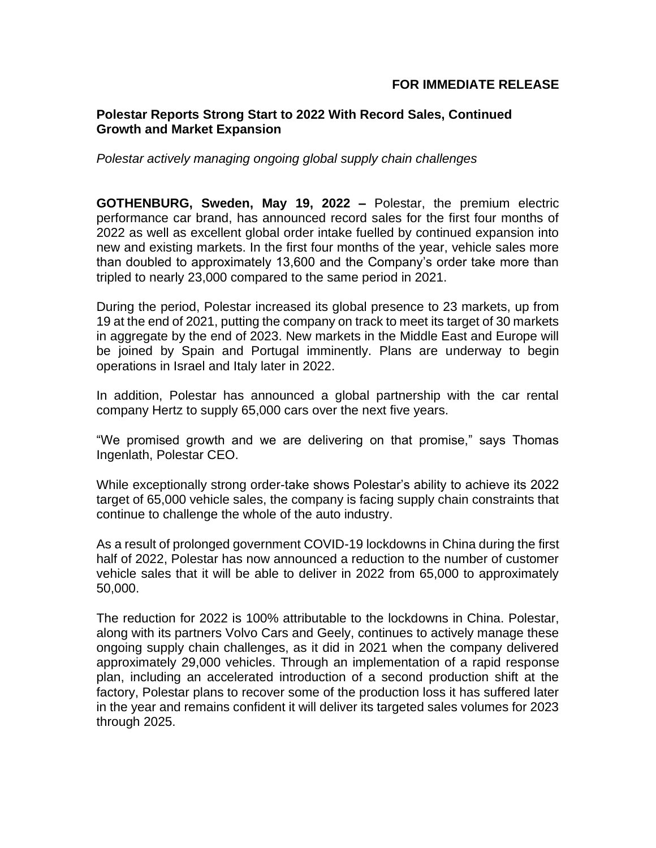# **FOR IMMEDIATE RELEASE**

# **Polestar Reports Strong Start to 2022 With Record Sales, Continued Growth and Market Expansion**

## *Polestar actively managing ongoing global supply chain challenges*

**GOTHENBURG, Sweden, May 19, 2022 –** Polestar, the premium electric performance car brand, has announced record sales for the first four months of 2022 as well as excellent global order intake fuelled by continued expansion into new and existing markets. In the first four months of the year, vehicle sales more than doubled to approximately 13,600 and the Company's order take more than tripled to nearly 23,000 compared to the same period in 2021.

During the period, Polestar increased its global presence to 23 markets, up from 19 at the end of 2021, putting the company on track to meet its target of 30 markets in aggregate by the end of 2023. New markets in the Middle East and Europe will be joined by Spain and Portugal imminently. Plans are underway to begin operations in Israel and Italy later in 2022.

In addition, Polestar has announced a global partnership with the car rental company Hertz to supply 65,000 cars over the next five years.

"We promised growth and we are delivering on that promise," says Thomas Ingenlath, Polestar CEO.

While exceptionally strong order-take shows Polestar's ability to achieve its 2022 target of 65,000 vehicle sales, the company is facing supply chain constraints that continue to challenge the whole of the auto industry.

As a result of prolonged government COVID-19 lockdowns in China during the first half of 2022, Polestar has now announced a reduction to the number of customer vehicle sales that it will be able to deliver in 2022 from 65,000 to approximately 50,000.

The reduction for 2022 is 100% attributable to the lockdowns in China. Polestar, along with its partners Volvo Cars and Geely, continues to actively manage these ongoing supply chain challenges, as it did in 2021 when the company delivered approximately 29,000 vehicles. Through an implementation of a rapid response plan, including an accelerated introduction of a second production shift at the factory, Polestar plans to recover some of the production loss it has suffered later in the year and remains confident it will deliver its targeted sales volumes for 2023 through 2025.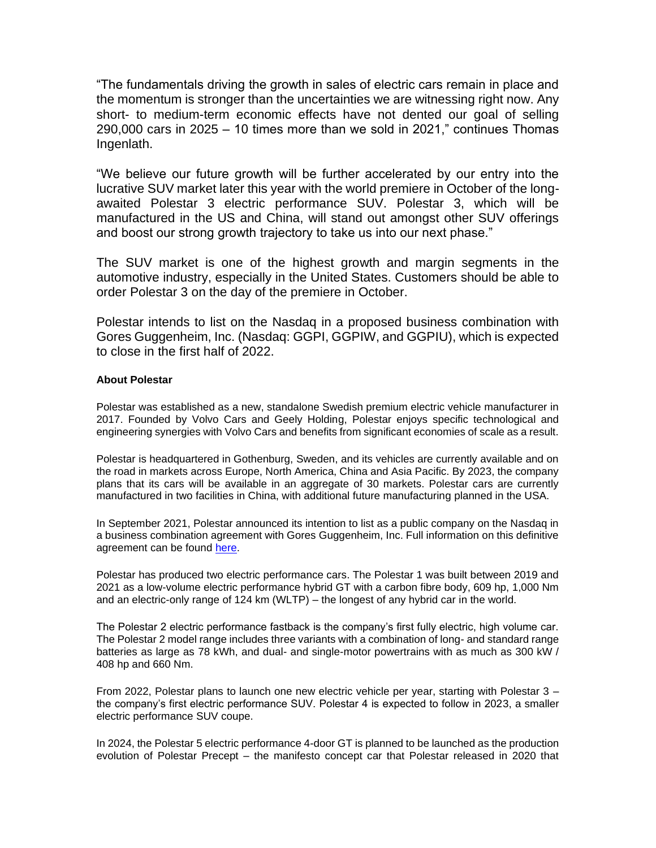"The fundamentals driving the growth in sales of electric cars remain in place and the momentum is stronger than the uncertainties we are witnessing right now. Any short- to medium-term economic effects have not dented our goal of selling 290,000 cars in 2025 – 10 times more than we sold in 2021," continues Thomas Ingenlath.

"We believe our future growth will be further accelerated by our entry into the lucrative SUV market later this year with the world premiere in October of the longawaited Polestar 3 electric performance SUV. Polestar 3, which will be manufactured in the US and China, will stand out amongst other SUV offerings and boost our strong growth trajectory to take us into our next phase."

The SUV market is one of the highest growth and margin segments in the automotive industry, especially in the United States. Customers should be able to order Polestar 3 on the day of the premiere in October.

Polestar intends to list on the Nasdaq in a proposed business combination with Gores Guggenheim, Inc. (Nasdaq: GGPI, GGPIW, and GGPIU), which is expected to close in the first half of 2022.

## **About Polestar**

Polestar was established as a new, standalone Swedish premium electric vehicle manufacturer in 2017. Founded by Volvo Cars and Geely Holding, Polestar enjoys specific technological and engineering synergies with Volvo Cars and benefits from significant economies of scale as a result.

Polestar is headquartered in Gothenburg, Sweden, and its vehicles are currently available and on the road in markets across Europe, North America, China and Asia Pacific. By 2023, the company plans that its cars will be available in an aggregate of 30 markets. Polestar cars are currently manufactured in two facilities in China, with additional future manufacturing planned in the USA.

In September 2021, Polestar announced its intention to list as a public company on the Nasdaq in a business combination agreement with Gores Guggenheim, Inc. Full information on this definitive agreement can be found [here.](https://media.polestar.com/global/en/media/pressreleases/638625)

Polestar has produced two electric performance cars. The Polestar 1 was built between 2019 and 2021 as a low-volume electric performance hybrid GT with a carbon fibre body, 609 hp, 1,000 Nm and an electric-only range of 124 km (WLTP) – the longest of any hybrid car in the world.

The Polestar 2 electric performance fastback is the company's first fully electric, high volume car. The Polestar 2 model range includes three variants with a combination of long- and standard range batteries as large as 78 kWh, and dual- and single-motor powertrains with as much as 300 kW / 408 hp and 660 Nm.

From 2022, Polestar plans to launch one new electric vehicle per year, starting with Polestar 3 – the company's first electric performance SUV. Polestar 4 is expected to follow in 2023, a smaller electric performance SUV coupe.

In 2024, the Polestar 5 electric performance 4-door GT is planned to be launched as the production evolution of Polestar Precept – the manifesto concept car that Polestar released in 2020 that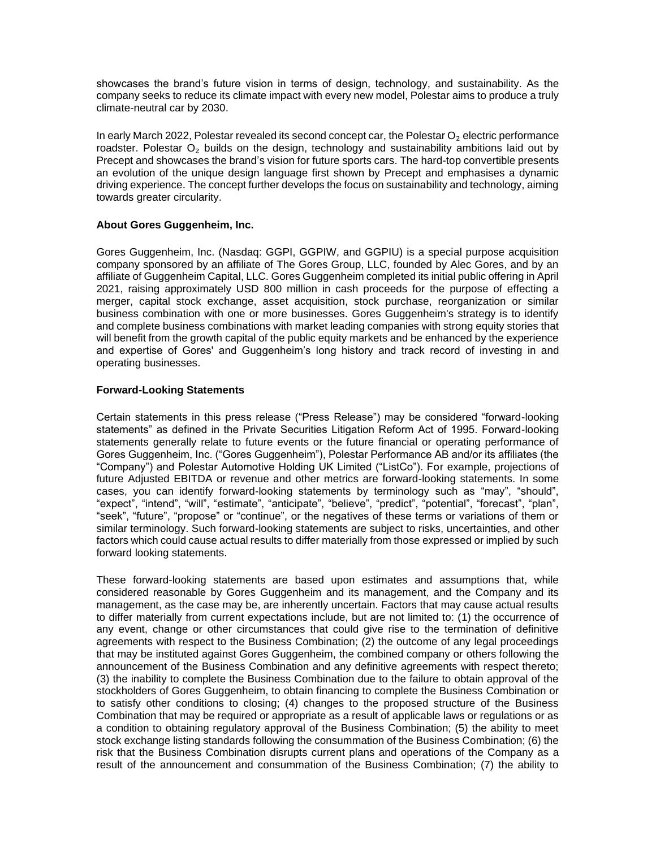showcases the brand's future vision in terms of design, technology, and sustainability. As the company seeks to reduce its climate impact with every new model, Polestar aims to produce a truly climate-neutral car by 2030.

In early March 2022, Polestar revealed its second concept car, the Polestar  $O<sub>2</sub>$  electric performance roadster. Polestar  $O<sub>2</sub>$  builds on the design, technology and sustainability ambitions laid out by Precept and showcases the brand's vision for future sports cars. The hard-top convertible presents an evolution of the unique design language first shown by Precept and emphasises a dynamic driving experience. The concept further develops the focus on sustainability and technology, aiming towards greater circularity.

## **About Gores Guggenheim, Inc.**

Gores Guggenheim, Inc. (Nasdaq: GGPI, GGPIW, and GGPIU) is a special purpose acquisition company sponsored by an affiliate of The Gores Group, LLC, founded by Alec Gores, and by an affiliate of Guggenheim Capital, LLC. Gores Guggenheim completed its initial public offering in April 2021, raising approximately USD 800 million in cash proceeds for the purpose of effecting a merger, capital stock exchange, asset acquisition, stock purchase, reorganization or similar business combination with one or more businesses. Gores Guggenheim's strategy is to identify and complete business combinations with market leading companies with strong equity stories that will benefit from the growth capital of the public equity markets and be enhanced by the experience and expertise of Gores' and Guggenheim's long history and track record of investing in and operating businesses.

## **Forward-Looking Statements**

Certain statements in this press release ("Press Release") may be considered "forward-looking statements" as defined in the Private Securities Litigation Reform Act of 1995. Forward-looking statements generally relate to future events or the future financial or operating performance of Gores Guggenheim, Inc. ("Gores Guggenheim"), Polestar Performance AB and/or its affiliates (the "Company") and Polestar Automotive Holding UK Limited ("ListCo"). For example, projections of future Adjusted EBITDA or revenue and other metrics are forward-looking statements. In some cases, you can identify forward-looking statements by terminology such as "may", "should", "expect", "intend", "will", "estimate", "anticipate", "believe", "predict", "potential", "forecast", "plan", "seek", "future", "propose" or "continue", or the negatives of these terms or variations of them or similar terminology. Such forward-looking statements are subject to risks, uncertainties, and other factors which could cause actual results to differ materially from those expressed or implied by such forward looking statements.

These forward-looking statements are based upon estimates and assumptions that, while considered reasonable by Gores Guggenheim and its management, and the Company and its management, as the case may be, are inherently uncertain. Factors that may cause actual results to differ materially from current expectations include, but are not limited to: (1) the occurrence of any event, change or other circumstances that could give rise to the termination of definitive agreements with respect to the Business Combination; (2) the outcome of any legal proceedings that may be instituted against Gores Guggenheim, the combined company or others following the announcement of the Business Combination and any definitive agreements with respect thereto; (3) the inability to complete the Business Combination due to the failure to obtain approval of the stockholders of Gores Guggenheim, to obtain financing to complete the Business Combination or to satisfy other conditions to closing; (4) changes to the proposed structure of the Business Combination that may be required or appropriate as a result of applicable laws or regulations or as a condition to obtaining regulatory approval of the Business Combination; (5) the ability to meet stock exchange listing standards following the consummation of the Business Combination; (6) the risk that the Business Combination disrupts current plans and operations of the Company as a result of the announcement and consummation of the Business Combination; (7) the ability to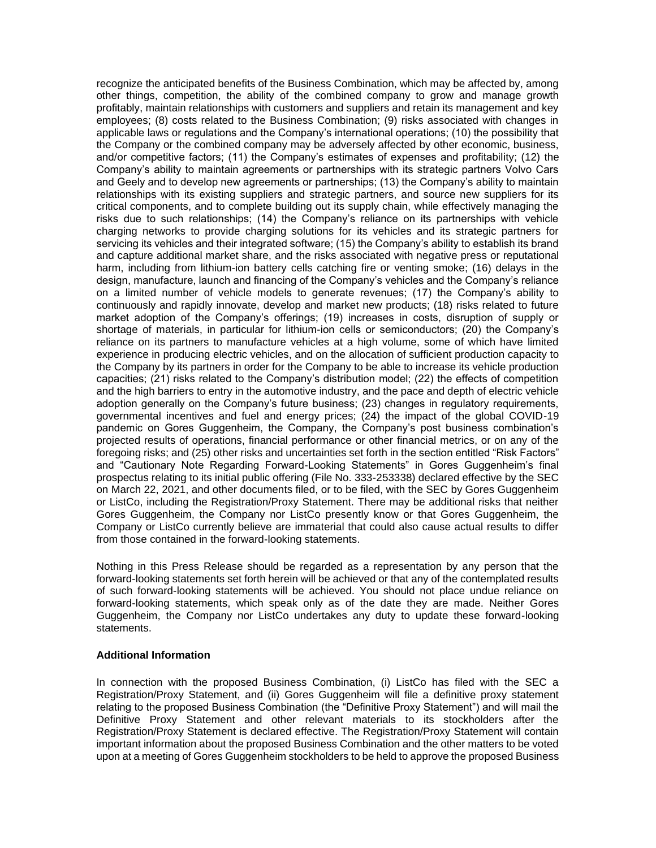recognize the anticipated benefits of the Business Combination, which may be affected by, among other things, competition, the ability of the combined company to grow and manage growth profitably, maintain relationships with customers and suppliers and retain its management and key employees; (8) costs related to the Business Combination; (9) risks associated with changes in applicable laws or regulations and the Company's international operations; (10) the possibility that the Company or the combined company may be adversely affected by other economic, business, and/or competitive factors; (11) the Company's estimates of expenses and profitability; (12) the Company's ability to maintain agreements or partnerships with its strategic partners Volvo Cars and Geely and to develop new agreements or partnerships; (13) the Company's ability to maintain relationships with its existing suppliers and strategic partners, and source new suppliers for its critical components, and to complete building out its supply chain, while effectively managing the risks due to such relationships; (14) the Company's reliance on its partnerships with vehicle charging networks to provide charging solutions for its vehicles and its strategic partners for servicing its vehicles and their integrated software; (15) the Company's ability to establish its brand and capture additional market share, and the risks associated with negative press or reputational harm, including from lithium-ion battery cells catching fire or venting smoke; (16) delays in the design, manufacture, launch and financing of the Company's vehicles and the Company's reliance on a limited number of vehicle models to generate revenues; (17) the Company's ability to continuously and rapidly innovate, develop and market new products; (18) risks related to future market adoption of the Company's offerings; (19) increases in costs, disruption of supply or shortage of materials, in particular for lithium-ion cells or semiconductors; (20) the Company's reliance on its partners to manufacture vehicles at a high volume, some of which have limited experience in producing electric vehicles, and on the allocation of sufficient production capacity to the Company by its partners in order for the Company to be able to increase its vehicle production capacities; (21) risks related to the Company's distribution model; (22) the effects of competition and the high barriers to entry in the automotive industry, and the pace and depth of electric vehicle adoption generally on the Company's future business; (23) changes in regulatory requirements, governmental incentives and fuel and energy prices; (24) the impact of the global COVID-19 pandemic on Gores Guggenheim, the Company, the Company's post business combination's projected results of operations, financial performance or other financial metrics, or on any of the foregoing risks; and (25) other risks and uncertainties set forth in the section entitled "Risk Factors" and "Cautionary Note Regarding Forward-Looking Statements" in Gores Guggenheim's final prospectus relating to its initial public offering (File No. 333-253338) declared effective by the SEC on March 22, 2021, and other documents filed, or to be filed, with the SEC by Gores Guggenheim or ListCo, including the Registration/Proxy Statement. There may be additional risks that neither Gores Guggenheim, the Company nor ListCo presently know or that Gores Guggenheim, the Company or ListCo currently believe are immaterial that could also cause actual results to differ from those contained in the forward-looking statements.

Nothing in this Press Release should be regarded as a representation by any person that the forward-looking statements set forth herein will be achieved or that any of the contemplated results of such forward-looking statements will be achieved. You should not place undue reliance on forward-looking statements, which speak only as of the date they are made. Neither Gores Guggenheim, the Company nor ListCo undertakes any duty to update these forward-looking statements.

#### **Additional Information**

In connection with the proposed Business Combination, (i) ListCo has filed with the SEC a Registration/Proxy Statement, and (ii) Gores Guggenheim will file a definitive proxy statement relating to the proposed Business Combination (the "Definitive Proxy Statement") and will mail the Definitive Proxy Statement and other relevant materials to its stockholders after the Registration/Proxy Statement is declared effective. The Registration/Proxy Statement will contain important information about the proposed Business Combination and the other matters to be voted upon at a meeting of Gores Guggenheim stockholders to be held to approve the proposed Business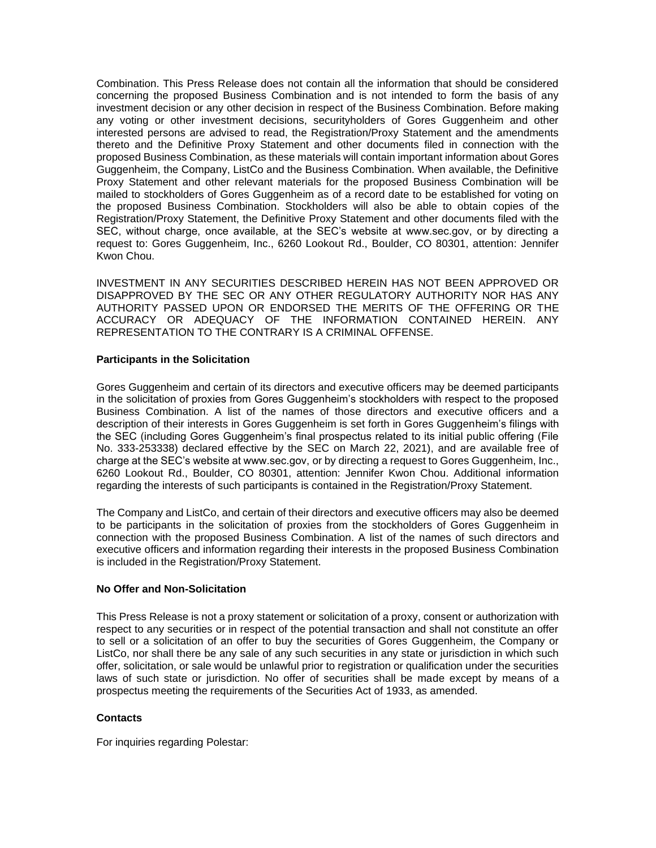Combination. This Press Release does not contain all the information that should be considered concerning the proposed Business Combination and is not intended to form the basis of any investment decision or any other decision in respect of the Business Combination. Before making any voting or other investment decisions, securityholders of Gores Guggenheim and other interested persons are advised to read, the Registration/Proxy Statement and the amendments thereto and the Definitive Proxy Statement and other documents filed in connection with the proposed Business Combination, as these materials will contain important information about Gores Guggenheim, the Company, ListCo and the Business Combination. When available, the Definitive Proxy Statement and other relevant materials for the proposed Business Combination will be mailed to stockholders of Gores Guggenheim as of a record date to be established for voting on the proposed Business Combination. Stockholders will also be able to obtain copies of the Registration/Proxy Statement, the Definitive Proxy Statement and other documents filed with the SEC, without charge, once available, at the SEC's website at www.sec.gov, or by directing a request to: Gores Guggenheim, Inc., 6260 Lookout Rd., Boulder, CO 80301, attention: Jennifer Kwon Chou.

INVESTMENT IN ANY SECURITIES DESCRIBED HEREIN HAS NOT BEEN APPROVED OR DISAPPROVED BY THE SEC OR ANY OTHER REGULATORY AUTHORITY NOR HAS ANY AUTHORITY PASSED UPON OR ENDORSED THE MERITS OF THE OFFERING OR THE ACCURACY OR ADEQUACY OF THE INFORMATION CONTAINED HEREIN. ANY REPRESENTATION TO THE CONTRARY IS A CRIMINAL OFFENSE.

#### **Participants in the Solicitation**

Gores Guggenheim and certain of its directors and executive officers may be deemed participants in the solicitation of proxies from Gores Guggenheim's stockholders with respect to the proposed Business Combination. A list of the names of those directors and executive officers and a description of their interests in Gores Guggenheim is set forth in Gores Guggenheim's filings with the SEC (including Gores Guggenheim's final prospectus related to its initial public offering (File No. 333-253338) declared effective by the SEC on March 22, 2021), and are available free of charge at the SEC's website at www.sec.gov, or by directing a request to Gores Guggenheim, Inc., 6260 Lookout Rd., Boulder, CO 80301, attention: Jennifer Kwon Chou. Additional information regarding the interests of such participants is contained in the Registration/Proxy Statement.

The Company and ListCo, and certain of their directors and executive officers may also be deemed to be participants in the solicitation of proxies from the stockholders of Gores Guggenheim in connection with the proposed Business Combination. A list of the names of such directors and executive officers and information regarding their interests in the proposed Business Combination is included in the Registration/Proxy Statement.

## **No Offer and Non-Solicitation**

This Press Release is not a proxy statement or solicitation of a proxy, consent or authorization with respect to any securities or in respect of the potential transaction and shall not constitute an offer to sell or a solicitation of an offer to buy the securities of Gores Guggenheim, the Company or ListCo, nor shall there be any sale of any such securities in any state or jurisdiction in which such offer, solicitation, or sale would be unlawful prior to registration or qualification under the securities laws of such state or jurisdiction. No offer of securities shall be made except by means of a prospectus meeting the requirements of the Securities Act of 1933, as amended.

#### **Contacts**

For inquiries regarding Polestar: